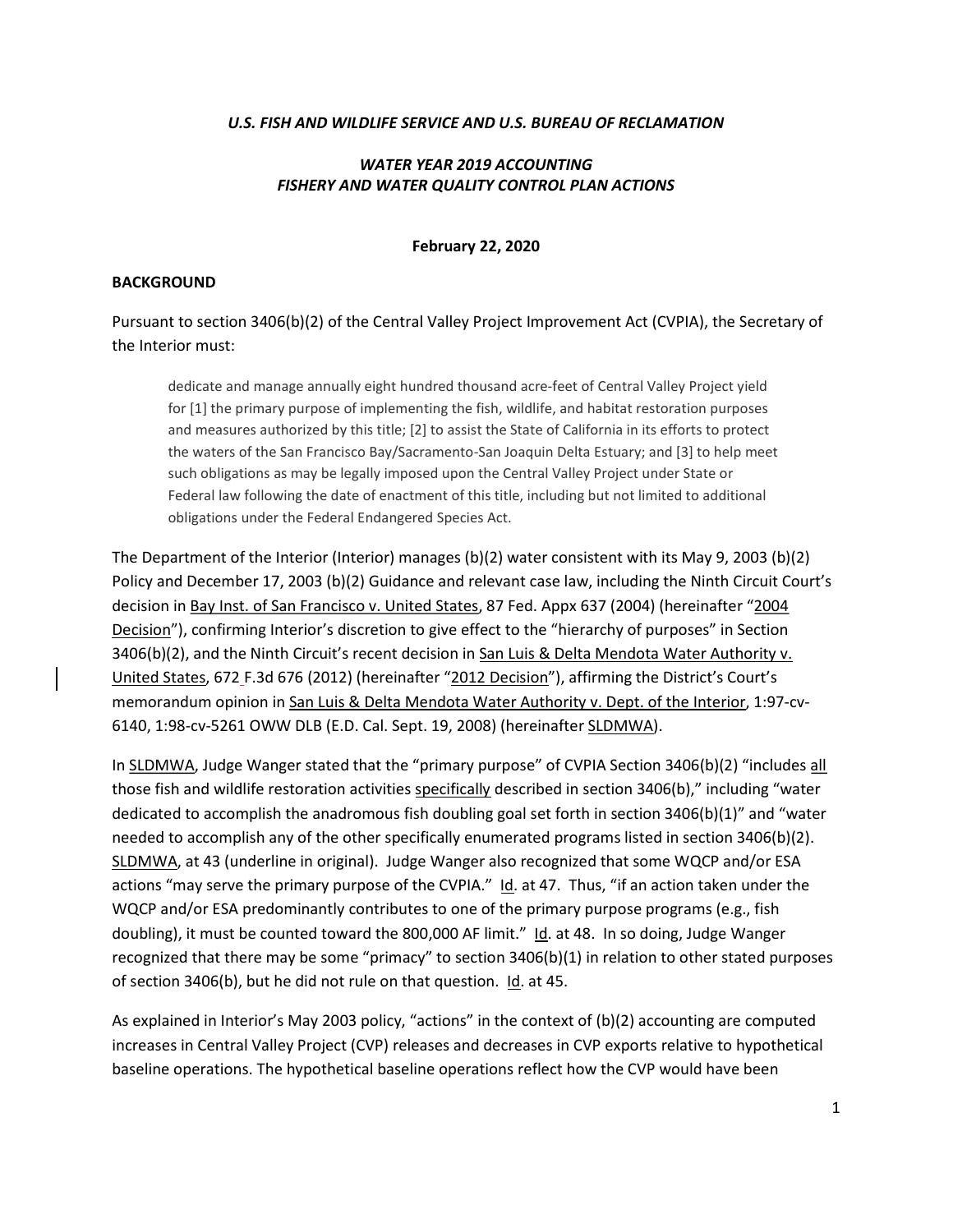#### U.S. FISH AND WILDLIFE SERVICE AND U.S. BUREAU OF RECLAMATION

## WATER YEAR 2019 ACCOUNTING FISHERY AND WATER QUALITY CONTROL PLAN ACTIONS

#### February 22, 2020

#### BACKGROUND

Pursuant to section 3406(b)(2) of the Central Valley Project Improvement Act (CVPIA), the Secretary of the Interior must:

dedicate and manage annually eight hundred thousand acre-feet of Central Valley Project yield for [1] the primary purpose of implementing the fish, wildlife, and habitat restoration purposes and measures authorized by this title; [2] to assist the State of California in its efforts to protect the waters of the San Francisco Bay/Sacramento-San Joaquin Delta Estuary; and [3] to help meet such obligations as may be legally imposed upon the Central Valley Project under State or Federal law following the date of enactment of this title, including but not limited to additional obligations under the Federal Endangered Species Act.

The Department of the Interior (Interior) manages (b)(2) water consistent with its May 9, 2003 (b)(2) Policy and December 17, 2003 (b)(2) Guidance and relevant case law, including the Ninth Circuit Court's decision in Bay Inst. of San Francisco v. United States, 87 Fed. Appx 637 (2004) (hereinafter "2004 Decision"), confirming Interior's discretion to give effect to the "hierarchy of purposes" in Section 3406(b)(2), and the Ninth Circuit's recent decision in San Luis & Delta Mendota Water Authority v. United States, 672 F.3d 676 (2012) (hereinafter "2012 Decision"), affirming the District's Court's memorandum opinion in San Luis & Delta Mendota Water Authority v. Dept. of the Interior, 1:97-cv-6140, 1:98-cv-5261 OWW DLB (E.D. Cal. Sept. 19, 2008) (hereinafter SLDMWA).

In SLDMWA, Judge Wanger stated that the "primary purpose" of CVPIA Section 3406(b)(2) "includes all those fish and wildlife restoration activities specifically described in section 3406(b)," including "water dedicated to accomplish the anadromous fish doubling goal set forth in section 3406(b)(1)" and "water needed to accomplish any of the other specifically enumerated programs listed in section 3406(b)(2). SLDMWA, at 43 (underline in original). Judge Wanger also recognized that some WQCP and/or ESA actions "may serve the primary purpose of the CVPIA." Id. at 47. Thus, "if an action taken under the WQCP and/or ESA predominantly contributes to one of the primary purpose programs (e.g., fish doubling), it must be counted toward the 800,000 AF limit." Id. at 48. In so doing, Judge Wanger recognized that there may be some "primacy" to section 3406(b)(1) in relation to other stated purposes of section 3406(b), but he did not rule on that question. Id. at 45.

As explained in Interior's May 2003 policy, "actions" in the context of (b)(2) accounting are computed increases in Central Valley Project (CVP) releases and decreases in CVP exports relative to hypothetical baseline operations. The hypothetical baseline operations reflect how the CVP would have been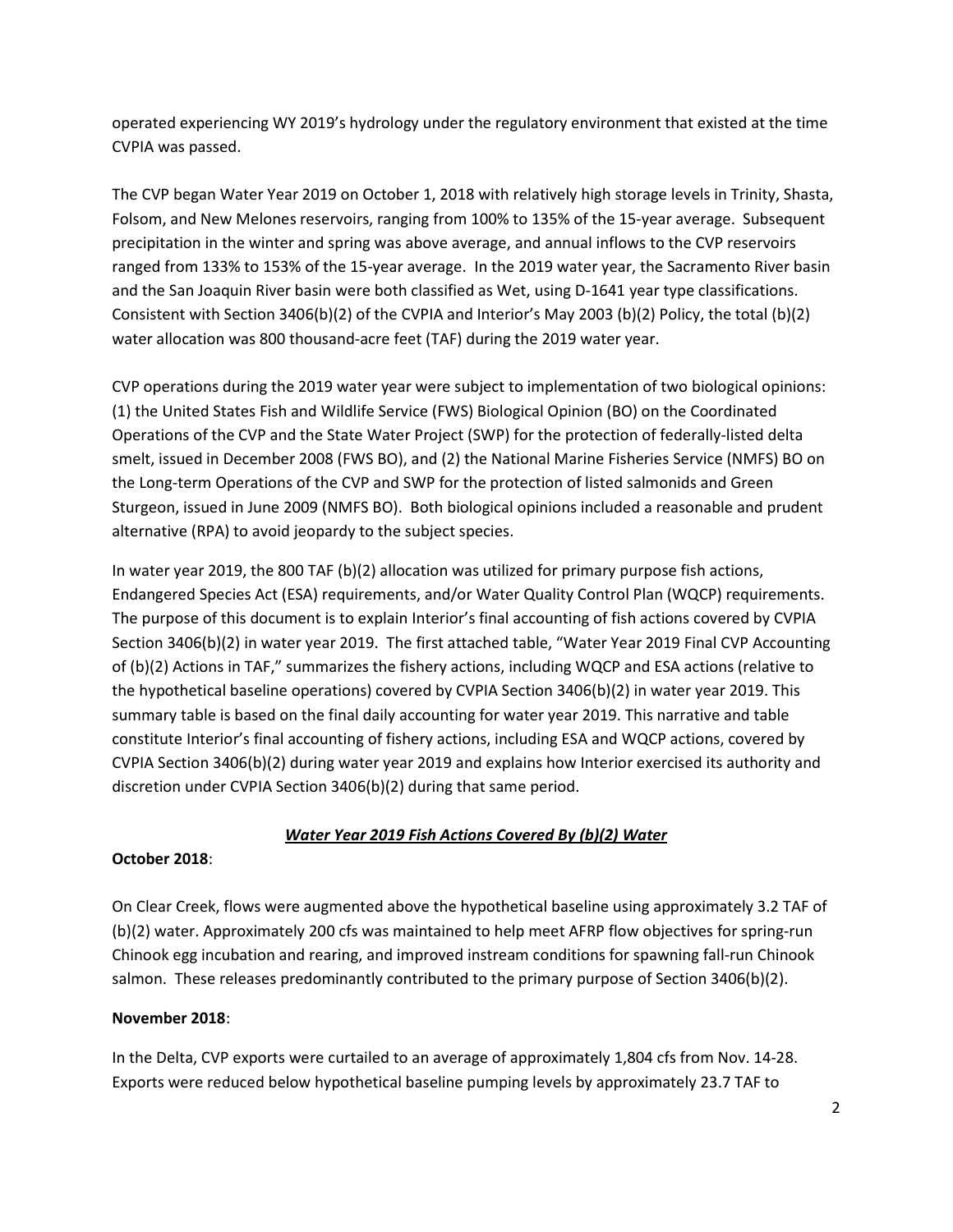operated experiencing WY 2019's hydrology under the regulatory environment that existed at the time CVPIA was passed.

The CVP began Water Year 2019 on October 1, 2018 with relatively high storage levels in Trinity, Shasta, Folsom, and New Melones reservoirs, ranging from 100% to 135% of the 15-year average. Subsequent precipitation in the winter and spring was above average, and annual inflows to the CVP reservoirs ranged from 133% to 153% of the 15-year average. In the 2019 water year, the Sacramento River basin and the San Joaquin River basin were both classified as Wet, using D-1641 year type classifications. Consistent with Section 3406(b)(2) of the CVPIA and Interior's May 2003 (b)(2) Policy, the total (b)(2) water allocation was 800 thousand-acre feet (TAF) during the 2019 water year.

CVP operations during the 2019 water year were subject to implementation of two biological opinions: (1) the United States Fish and Wildlife Service (FWS) Biological Opinion (BO) on the Coordinated Operations of the CVP and the State Water Project (SWP) for the protection of federally-listed delta smelt, issued in December 2008 (FWS BO), and (2) the National Marine Fisheries Service (NMFS) BO on the Long-term Operations of the CVP and SWP for the protection of listed salmonids and Green Sturgeon, issued in June 2009 (NMFS BO). Both biological opinions included a reasonable and prudent alternative (RPA) to avoid jeopardy to the subject species.

In water year 2019, the 800 TAF (b)(2) allocation was utilized for primary purpose fish actions, Endangered Species Act (ESA) requirements, and/or Water Quality Control Plan (WQCP) requirements. The purpose of this document is to explain Interior's final accounting of fish actions covered by CVPIA Section 3406(b)(2) in water year 2019. The first attached table, "Water Year 2019 Final CVP Accounting of (b)(2) Actions in TAF," summarizes the fishery actions, including WQCP and ESA actions (relative to the hypothetical baseline operations) covered by CVPIA Section 3406(b)(2) in water year 2019. This summary table is based on the final daily accounting for water year 2019. This narrative and table constitute Interior's final accounting of fishery actions, including ESA and WQCP actions, covered by CVPIA Section 3406(b)(2) during water year 2019 and explains how Interior exercised its authority and discretion under CVPIA Section 3406(b)(2) during that same period.

# Water Year 2019 Fish Actions Covered By (b)(2) Water

### October 2018:

On Clear Creek, flows were augmented above the hypothetical baseline using approximately 3.2 TAF of (b)(2) water. Approximately 200 cfs was maintained to help meet AFRP flow objectives for spring-run Chinook egg incubation and rearing, and improved instream conditions for spawning fall-run Chinook salmon. These releases predominantly contributed to the primary purpose of Section 3406(b)(2).

### November 2018:

In the Delta, CVP exports were curtailed to an average of approximately 1,804 cfs from Nov. 14-28. Exports were reduced below hypothetical baseline pumping levels by approximately 23.7 TAF to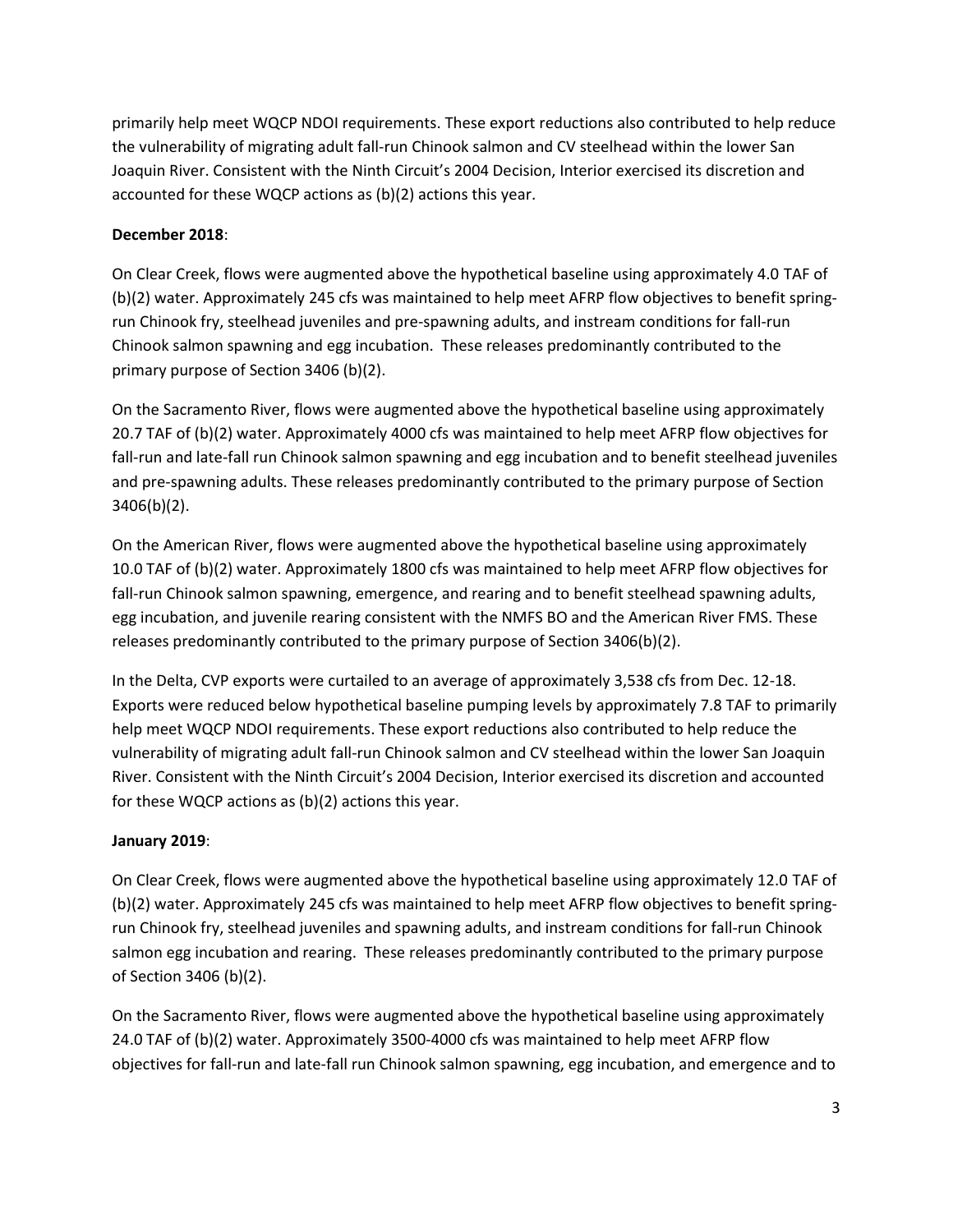primarily help meet WQCP NDOI requirements. These export reductions also contributed to help reduce the vulnerability of migrating adult fall-run Chinook salmon and CV steelhead within the lower San Joaquin River. Consistent with the Ninth Circuit's 2004 Decision, Interior exercised its discretion and accounted for these WQCP actions as (b)(2) actions this year.

## December 2018:

On Clear Creek, flows were augmented above the hypothetical baseline using approximately 4.0 TAF of (b)(2) water. Approximately 245 cfs was maintained to help meet AFRP flow objectives to benefit springrun Chinook fry, steelhead juveniles and pre-spawning adults, and instream conditions for fall-run Chinook salmon spawning and egg incubation. These releases predominantly contributed to the primary purpose of Section 3406 (b)(2).

On the Sacramento River, flows were augmented above the hypothetical baseline using approximately 20.7 TAF of (b)(2) water. Approximately 4000 cfs was maintained to help meet AFRP flow objectives for fall-run and late-fall run Chinook salmon spawning and egg incubation and to benefit steelhead juveniles and pre-spawning adults. These releases predominantly contributed to the primary purpose of Section 3406(b)(2).

On the American River, flows were augmented above the hypothetical baseline using approximately 10.0 TAF of (b)(2) water. Approximately 1800 cfs was maintained to help meet AFRP flow objectives for fall-run Chinook salmon spawning, emergence, and rearing and to benefit steelhead spawning adults, egg incubation, and juvenile rearing consistent with the NMFS BO and the American River FMS. These releases predominantly contributed to the primary purpose of Section 3406(b)(2).

In the Delta, CVP exports were curtailed to an average of approximately 3,538 cfs from Dec. 12-18. Exports were reduced below hypothetical baseline pumping levels by approximately 7.8 TAF to primarily help meet WQCP NDOI requirements. These export reductions also contributed to help reduce the vulnerability of migrating adult fall-run Chinook salmon and CV steelhead within the lower San Joaquin River. Consistent with the Ninth Circuit's 2004 Decision, Interior exercised its discretion and accounted for these WQCP actions as (b)(2) actions this year.

### January 2019:

On Clear Creek, flows were augmented above the hypothetical baseline using approximately 12.0 TAF of (b)(2) water. Approximately 245 cfs was maintained to help meet AFRP flow objectives to benefit springrun Chinook fry, steelhead juveniles and spawning adults, and instream conditions for fall-run Chinook salmon egg incubation and rearing. These releases predominantly contributed to the primary purpose of Section 3406 (b)(2).

On the Sacramento River, flows were augmented above the hypothetical baseline using approximately 24.0 TAF of (b)(2) water. Approximately 3500-4000 cfs was maintained to help meet AFRP flow objectives for fall-run and late-fall run Chinook salmon spawning, egg incubation, and emergence and to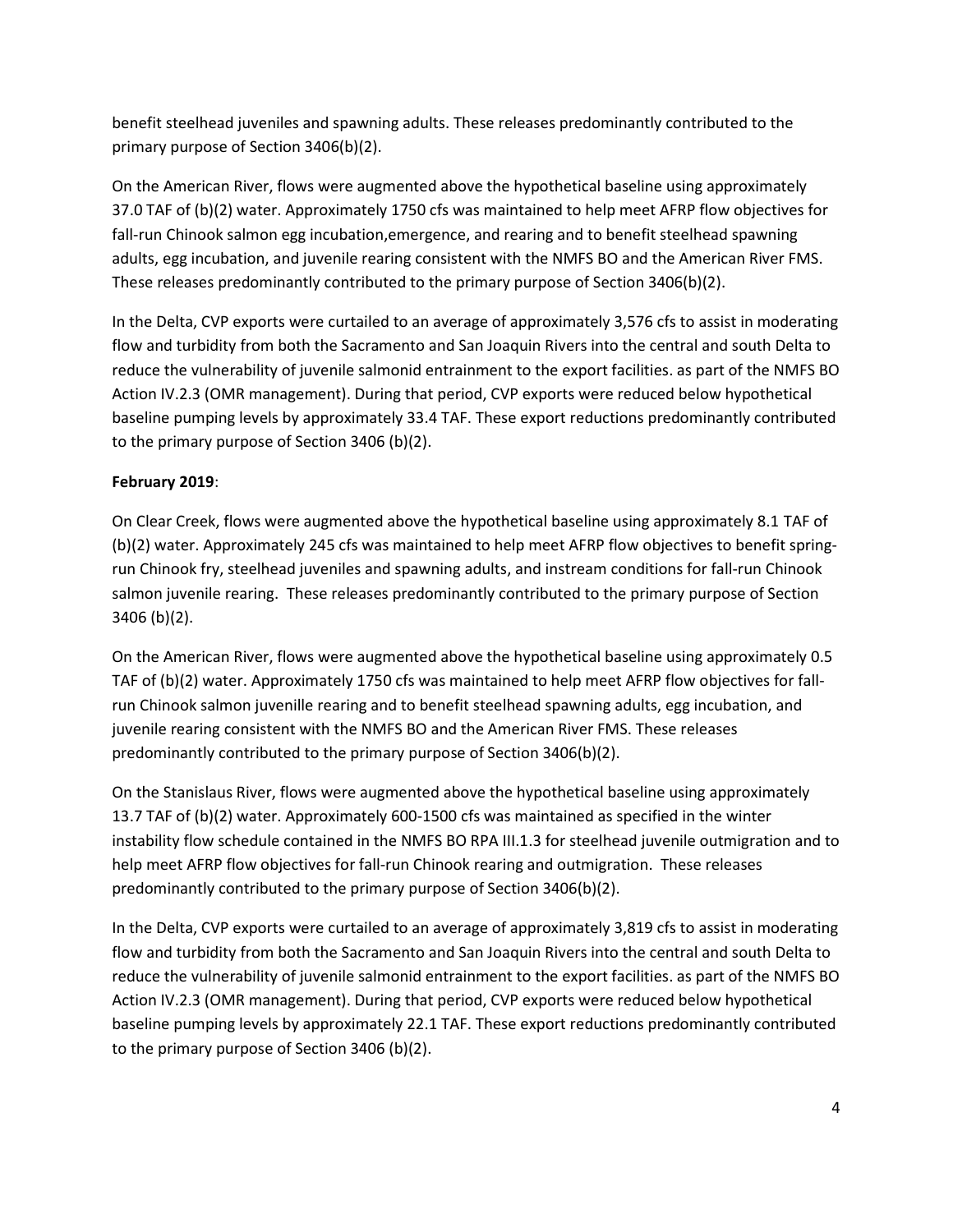benefit steelhead juveniles and spawning adults. These releases predominantly contributed to the primary purpose of Section 3406(b)(2).

On the American River, flows were augmented above the hypothetical baseline using approximately 37.0 TAF of (b)(2) water. Approximately 1750 cfs was maintained to help meet AFRP flow objectives for fall-run Chinook salmon egg incubation,emergence, and rearing and to benefit steelhead spawning adults, egg incubation, and juvenile rearing consistent with the NMFS BO and the American River FMS. These releases predominantly contributed to the primary purpose of Section 3406(b)(2).

In the Delta, CVP exports were curtailed to an average of approximately 3,576 cfs to assist in moderating flow and turbidity from both the Sacramento and San Joaquin Rivers into the central and south Delta to reduce the vulnerability of juvenile salmonid entrainment to the export facilities. as part of the NMFS BO Action IV.2.3 (OMR management). During that period, CVP exports were reduced below hypothetical baseline pumping levels by approximately 33.4 TAF. These export reductions predominantly contributed to the primary purpose of Section 3406 (b)(2).

# February 2019:

On Clear Creek, flows were augmented above the hypothetical baseline using approximately 8.1 TAF of (b)(2) water. Approximately 245 cfs was maintained to help meet AFRP flow objectives to benefit springrun Chinook fry, steelhead juveniles and spawning adults, and instream conditions for fall-run Chinook salmon juvenile rearing. These releases predominantly contributed to the primary purpose of Section 3406 (b)(2).

On the American River, flows were augmented above the hypothetical baseline using approximately 0.5 TAF of (b)(2) water. Approximately 1750 cfs was maintained to help meet AFRP flow objectives for fallrun Chinook salmon juvenille rearing and to benefit steelhead spawning adults, egg incubation, and juvenile rearing consistent with the NMFS BO and the American River FMS. These releases predominantly contributed to the primary purpose of Section 3406(b)(2).

On the Stanislaus River, flows were augmented above the hypothetical baseline using approximately 13.7 TAF of (b)(2) water. Approximately 600-1500 cfs was maintained as specified in the winter instability flow schedule contained in the NMFS BO RPA III.1.3 for steelhead juvenile outmigration and to help meet AFRP flow objectives for fall-run Chinook rearing and outmigration. These releases predominantly contributed to the primary purpose of Section 3406(b)(2).

In the Delta, CVP exports were curtailed to an average of approximately 3,819 cfs to assist in moderating flow and turbidity from both the Sacramento and San Joaquin Rivers into the central and south Delta to reduce the vulnerability of juvenile salmonid entrainment to the export facilities. as part of the NMFS BO Action IV.2.3 (OMR management). During that period, CVP exports were reduced below hypothetical baseline pumping levels by approximately 22.1 TAF. These export reductions predominantly contributed to the primary purpose of Section 3406 (b)(2).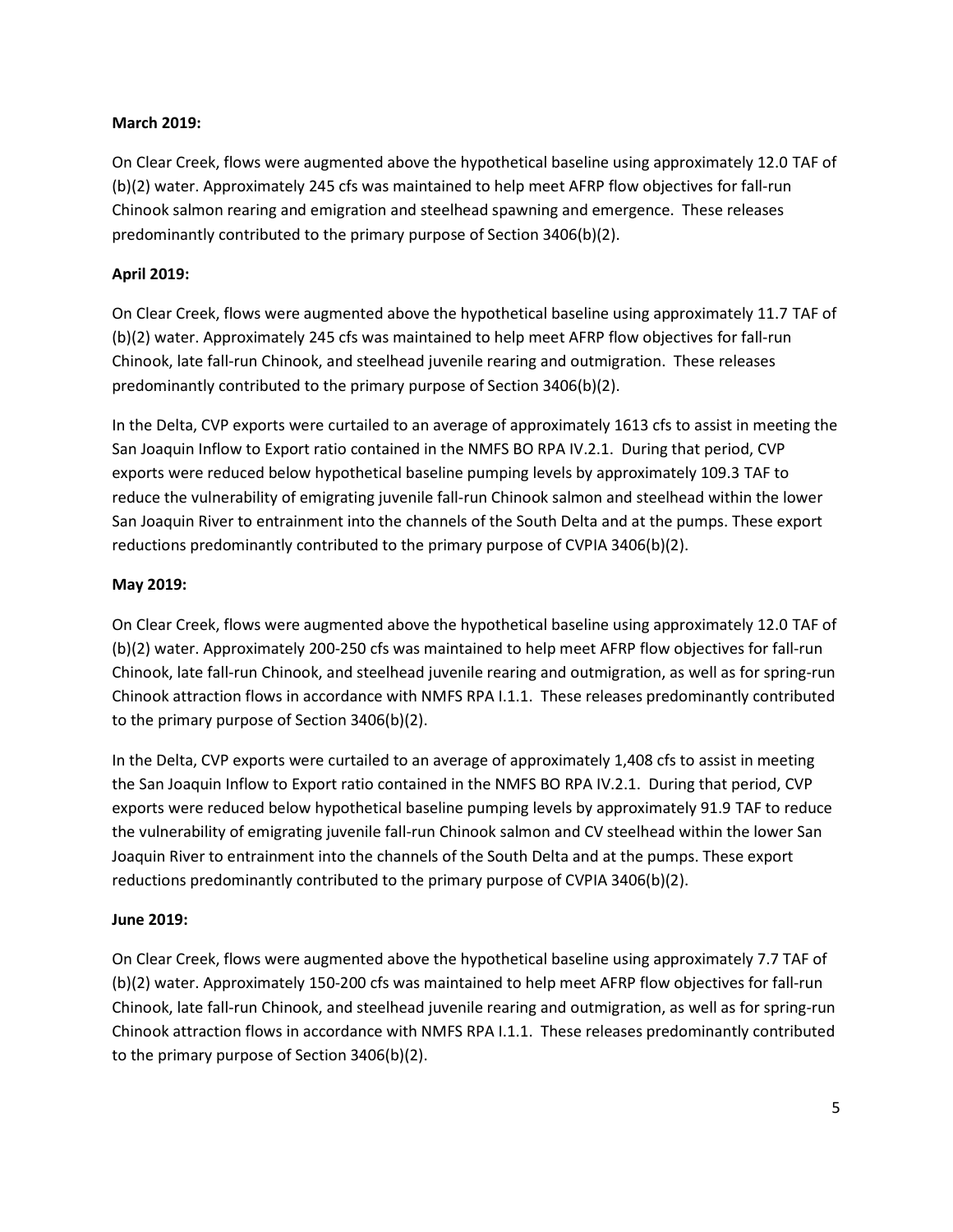## March 2019:

On Clear Creek, flows were augmented above the hypothetical baseline using approximately 12.0 TAF of (b)(2) water. Approximately 245 cfs was maintained to help meet AFRP flow objectives for fall-run Chinook salmon rearing and emigration and steelhead spawning and emergence. These releases predominantly contributed to the primary purpose of Section 3406(b)(2).

# April 2019:

On Clear Creek, flows were augmented above the hypothetical baseline using approximately 11.7 TAF of (b)(2) water. Approximately 245 cfs was maintained to help meet AFRP flow objectives for fall-run Chinook, late fall-run Chinook, and steelhead juvenile rearing and outmigration. These releases predominantly contributed to the primary purpose of Section 3406(b)(2).

In the Delta, CVP exports were curtailed to an average of approximately 1613 cfs to assist in meeting the San Joaquin Inflow to Export ratio contained in the NMFS BO RPA IV.2.1. During that period, CVP exports were reduced below hypothetical baseline pumping levels by approximately 109.3 TAF to reduce the vulnerability of emigrating juvenile fall-run Chinook salmon and steelhead within the lower San Joaquin River to entrainment into the channels of the South Delta and at the pumps. These export reductions predominantly contributed to the primary purpose of CVPIA 3406(b)(2).

## May 2019:

On Clear Creek, flows were augmented above the hypothetical baseline using approximately 12.0 TAF of (b)(2) water. Approximately 200-250 cfs was maintained to help meet AFRP flow objectives for fall-run Chinook, late fall-run Chinook, and steelhead juvenile rearing and outmigration, as well as for spring-run Chinook attraction flows in accordance with NMFS RPA I.1.1. These releases predominantly contributed to the primary purpose of Section 3406(b)(2).

In the Delta, CVP exports were curtailed to an average of approximately 1,408 cfs to assist in meeting the San Joaquin Inflow to Export ratio contained in the NMFS BO RPA IV.2.1. During that period, CVP exports were reduced below hypothetical baseline pumping levels by approximately 91.9 TAF to reduce the vulnerability of emigrating juvenile fall-run Chinook salmon and CV steelhead within the lower San Joaquin River to entrainment into the channels of the South Delta and at the pumps. These export reductions predominantly contributed to the primary purpose of CVPIA 3406(b)(2).

# June 2019:

On Clear Creek, flows were augmented above the hypothetical baseline using approximately 7.7 TAF of (b)(2) water. Approximately 150-200 cfs was maintained to help meet AFRP flow objectives for fall-run Chinook, late fall-run Chinook, and steelhead juvenile rearing and outmigration, as well as for spring-run Chinook attraction flows in accordance with NMFS RPA I.1.1. These releases predominantly contributed to the primary purpose of Section 3406(b)(2).